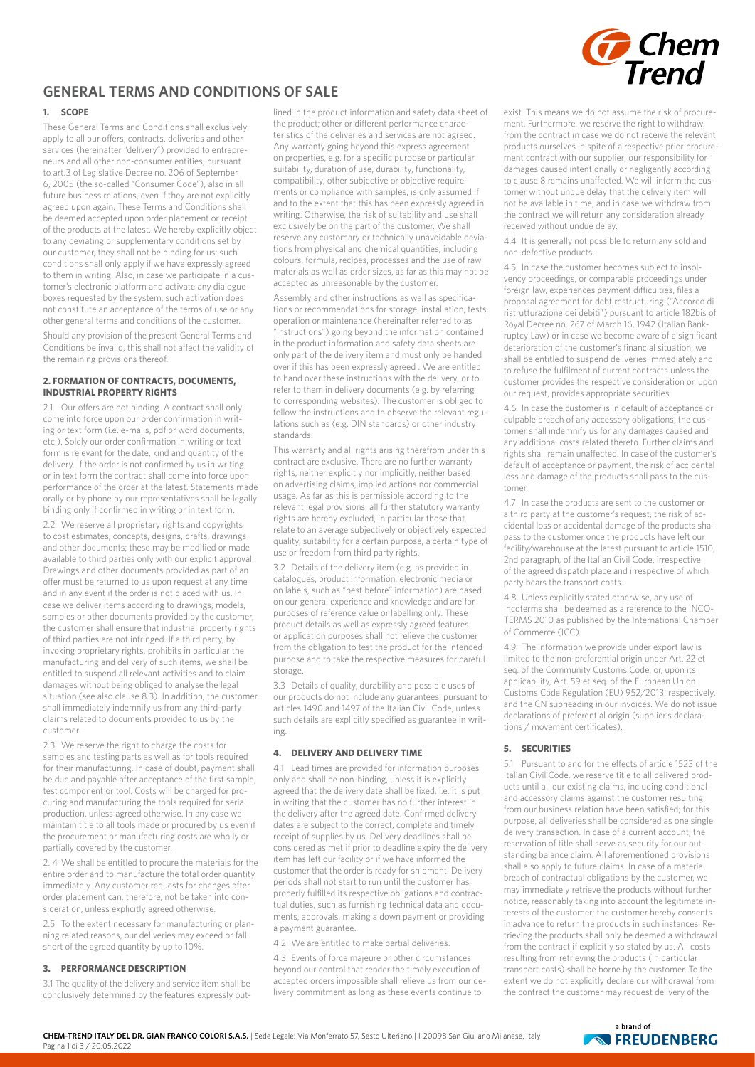

# **GENERAL TERMS AND CONDITIONS OF SALE**

# **1. SCOPE**

These General Terms and Conditions shall exclusively apply to all our offers, contracts, deliveries and other services (hereinafter "delivery") provided to entrepreneurs and all other non-consumer entities, pursuant to art.3 of Legislative Decree no. 206 of September 6, 2005 (the so-called "Consumer Code"), also in all future business relations, even if they are not explicitly agreed upon again. These Terms and Conditions shall be deemed accepted upon order placement or receipt of the products at the latest. We hereby explicitly object to any deviating or supplementary conditions set by our customer, they shall not be binding for us; such conditions shall only apply if we have expressly agreed to them in writing. Also, in case we participate in a customer's electronic platform and activate any dialogue boxes requested by the system, such activation does not constitute an acceptance of the terms of use or any other general terms and conditions of the customer.

Should any provision of the present General Terms and Conditions be invalid, this shall not affect the validity of the remaining provisions thereof.

## **2. FORMATION OF CONTRACTS, DOCUMENTS, INDUSTRIAL PROPERTY RIGHTS**

2.1 Our offers are not binding. A contract shall only come into force upon our order confirmation in writing or text form (i.e. e-mails, pdf or word documents, etc.). Solely our order confirmation in writing or text form is relevant for the date, kind and quantity of the delivery. If the order is not confirmed by us in writing or in text form the contract shall come into force upon performance of the order at the latest. Statements made orally or by phone by our representatives shall be legally binding only if confirmed in writing or in text form.

2.2 We reserve all proprietary rights and copyrights to cost estimates, concepts, designs, drafts, drawings and other documents; these may be modified or made available to third parties only with our explicit approval. Drawings and other documents provided as part of an offer must be returned to us upon request at any time and in any event if the order is not placed with us. In case we deliver items according to drawings, models, samples or other documents provided by the customer, the customer shall ensure that industrial property rights of third parties are not infringed. If a third party, by invoking proprietary rights, prohibits in particular the manufacturing and delivery of such items, we shall be entitled to suspend all relevant activities and to claim damages without being obliged to analyse the legal situation (see also clause 8.3). In addition, the customer shall immediately indemnify us from any third-party claims related to documents provided to us by the customer.

2.3 We reserve the right to charge the costs for samples and testing parts as well as for tools required for their manufacturing. In case of doubt, payment shall be due and payable after acceptance of the first sample, test component or tool. Costs will be charged for procuring and manufacturing the tools required for serial production, unless agreed otherwise. In any case we maintain title to all tools made or procured by us even if the procurement or manufacturing costs are wholly or partially covered by the customer.

2. 4 We shall be entitled to procure the materials for the entire order and to manufacture the total order quantity immediately. Any customer requests for changes after order placement can, therefore, not be taken into consideration, unless explicitly agreed otherwise.

2.5 To the extent necessary for manufacturing or planning related reasons, our deliveries may exceed or fall short of the agreed quantity by up to 10%.

# **3. PERFORMANCE DESCRIPTION**

3.1 The quality of the delivery and service item shall be conclusively determined by the features expressly outlined in the product information and safety data sheet of the product; other or different performance characteristics of the deliveries and services are not agreed. Any warranty going beyond this express agreement on properties, e.g. for a specific purpose or particular suitability, duration of use, durability, functionality, compatibility, other subjective or objective requirements or compliance with samples, is only assumed if and to the extent that this has been expressly agreed in writing. Otherwise, the risk of suitability and use shall exclusively be on the part of the customer. We shall reserve any customary or technically unavoidable deviations from physical and chemical quantities, including colours, formula, recipes, processes and the use of raw materials as well as order sizes, as far as this may not be accepted as unreasonable by the customer.

Assembly and other instructions as well as specifications or recommendations for storage, installation, tests, operation or maintenance (hereinafter referred to as "instructions") going beyond the information contained in the product information and safety data sheets are only part of the delivery item and must only be handed over if this has been expressly agreed . We are entitled to hand over these instructions with the delivery, or to refer to them in delivery documents (e.g. by referring to corresponding websites). The customer is obliged to follow the instructions and to observe the relevant regulations such as (e.g. DIN standards) or other industry standards.

This warranty and all rights arising therefrom under this contract are exclusive. There are no further warranty rights, neither explicitly nor implicitly, neither based on advertising claims, implied actions nor commercial usage. As far as this is permissible according to the relevant legal provisions, all further statutory warranty rights are hereby excluded, in particular those that relate to an average subjectively or objectively expected quality, suitability for a certain purpose, a certain type of use or freedom from third party rights.

3.2 Details of the delivery item (e.g. as provided in catalogues, product information, electronic media or on labels, such as "best before" information) are based on our general experience and knowledge and are for purposes of reference value or labelling only. These product details as well as expressly agreed features or application purposes shall not relieve the customer from the obligation to test the product for the intended purpose and to take the respective measures for careful storage.

3.3 Details of quality, durability and possible uses of our products do not include any guarantees, pursuant to articles 1490 and 1497 of the Italian Civil Code, unless such details are explicitly specified as guarantee in writing.

# **4. DELIVERY AND DELIVERY TIME**

4.1 Lead times are provided for information purposes only and shall be non-binding, unless it is explicitly agreed that the delivery date shall be fixed, i.e. it is put in writing that the customer has no further interest in the delivery after the agreed date. Confirmed delivery dates are subject to the correct, complete and timely receipt of supplies by us. Delivery deadlines shall be considered as met if prior to deadline expiry the delivery item has left our facility or if we have informed the customer that the order is ready for shipment. Delivery periods shall not start to run until the customer has properly fulfilled its respective obligations and contractual duties, such as furnishing technical data and documents, approvals, making a down payment or providing a payment guarantee.

4.2 We are entitled to make partial deliveries.

4.3 Events of force majeure or other circumstances beyond our control that render the timely execution of accepted orders impossible shall relieve us from our delivery commitment as long as these events continue to

exist. This means we do not assume the risk of procurement. Furthermore, we reserve the right to withdraw from the contract in case we do not receive the relevant products ourselves in spite of a respective prior procurement contract with our supplier; our responsibility for damages caused intentionally or negligently according to clause 8 remains unaffected. We will inform the customer without undue delay that the delivery item will not be available in time, and in case we withdraw from the contract we will return any consideration already received without undue delay.

4.4 It is generally not possible to return any sold and non-defective products.

4.5 In case the customer becomes subject to insolvency proceedings, or comparable proceedings under foreign law, experiences payment difficulties, files a proposal agreement for debt restructuring ("Accordo di ristrutturazione dei debiti") pursuant to article 182bis of Royal Decree no. 267 of March 16, 1942 (Italian Bankruptcy Law) or in case we become aware of a significant deterioration of the customer's financial situation, we shall be entitled to suspend deliveries immediately and to refuse the fulfilment of current contracts unless the customer provides the respective consideration or, upon our request, provides appropriate securities.

4.6 In case the customer is in default of acceptance or culpable breach of any accessory obligations, the customer shall indemnify us for any damages caused and any additional costs related thereto. Further claims and rights shall remain unaffected. In case of the customer's default of acceptance or payment, the risk of accidental loss and damage of the products shall pass to the customer.

4.7 In case the products are sent to the customer or a third party at the customer's request, the risk of accidental loss or accidental damage of the products shall pass to the customer once the products have left our facility/warehouse at the latest pursuant to article 1510, 2nd paragraph, of the Italian Civil Code, irrespective of the agreed dispatch place and irrespective of which party bears the transport costs.

4.8 Unless explicitly stated otherwise, any use of Incoterms shall be deemed as a reference to the INCO-TERMS 2010 as published by the International Chamber of Commerce (ICC).

4,9 The information we provide under export law is limited to the non-preferential origin under Art. 22 et seq. of the Community Customs Code, or, upon its applicability, Art. 59 et seq. of the European Union Customs Code Regulation (EU) 952/2013, respectively, and the CN subheading in our invoices. We do not issue declarations of preferential origin (supplier's declarations / movement certificates).

# **5. SECURITIES**

5.1 Pursuant to and for the effects of article 1523 of the Italian Civil Code, we reserve title to all delivered products until all our existing claims, including conditional and accessory claims against the customer resulting from our business relation have been satisfied; for this purpose, all deliveries shall be considered as one single delivery transaction. In case of a current account, the reservation of title shall serve as security for our outstanding balance claim. All aforementioned provisions shall also apply to future claims. In case of a material breach of contractual obligations by the customer, we may immediately retrieve the products without further notice, reasonably taking into account the legitimate interests of the customer; the customer hereby consents in advance to return the products in such instances. Retrieving the products shall only be deemed a withdrawal from the contract if explicitly so stated by us. All costs resulting from retrieving the products (in particular transport costs) shall be borne by the customer. To the extent we do not explicitly declare our withdrawal from the contract the customer may request delivery of the

> a hrand of **NEUDENBERG**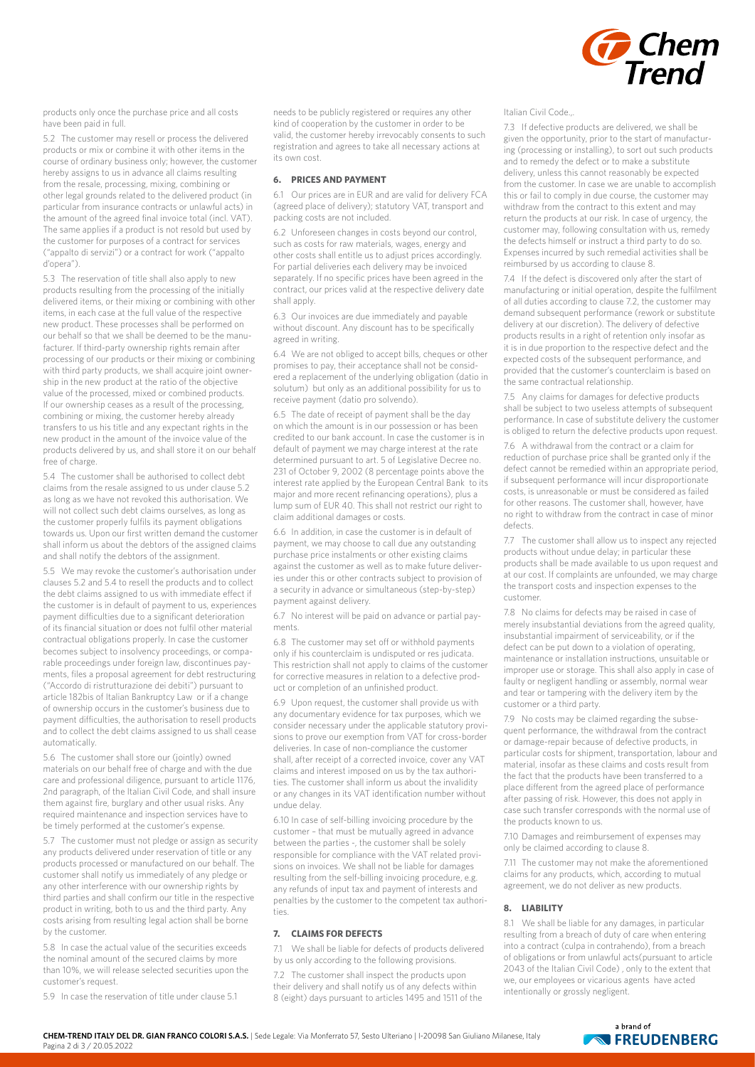

products only once the purchase price and all costs have been paid in full.

5.2 The customer may resell or process the delivered products or mix or combine it with other items in the course of ordinary business only; however, the customer hereby assigns to us in advance all claims resulting from the resale, processing, mixing, combining or other legal grounds related to the delivered product (in particular from insurance contracts or unlawful acts) in the amount of the agreed final invoice total (incl. VAT). The same applies if a product is not resold but used by the customer for purposes of a contract for services ("appalto di servizi") or a contract for work ("appalto d'opera").

5.3 The reservation of title shall also apply to new products resulting from the processing of the initially delivered items, or their mixing or combining with other items, in each case at the full value of the respective new product. These processes shall be performed on our behalf so that we shall be deemed to be the manufacturer. If third-party ownership rights remain after processing of our products or their mixing or combining with third party products, we shall acquire joint ownership in the new product at the ratio of the objective value of the processed, mixed or combined products. If our ownership ceases as a result of the processing, combining or mixing, the customer hereby already transfers to us his title and any expectant rights in the new product in the amount of the invoice value of the products delivered by us, and shall store it on our behalf free of charge.

5.4 The customer shall be authorised to collect debt claims from the resale assigned to us under clause 5.2 as long as we have not revoked this authorisation. We will not collect such debt claims ourselves, as long as the customer properly fulfils its payment obligations towards us. Upon our first written demand the customer shall inform us about the debtors of the assigned claims and shall notify the debtors of the assignment.

5.5 We may revoke the customer's authorisation under clauses 5.2 and 5.4 to resell the products and to collect the debt claims assigned to us with immediate effect if the customer is in default of payment to us, experiences payment difficulties due to a significant deterioration of its financial situation or does not fulfil other material contractual obligations properly. In case the customer becomes subject to insolvency proceedings, or comparable proceedings under foreign law, discontinues payments, files a proposal agreement for debt restructuring ("Accordo di ristrutturazione dei debiti") pursuant to article 182bis of Italian Bankruptcy Law or if a change of ownership occurs in the customer's business due to payment difficulties, the authorisation to resell products and to collect the debt claims assigned to us shall cease automatically.

5.6 The customer shall store our (jointly) owned materials on our behalf free of charge and with the due care and professional diligence, pursuant to article 1176, 2nd paragraph, of the Italian Civil Code, and shall insure them against fire, burglary and other usual risks. Any required maintenance and inspection services have to be timely performed at the customer's expense.

5.7 The customer must not pledge or assign as security any products delivered under reservation of title or any products processed or manufactured on our behalf. The customer shall notify us immediately of any pledge or any other interference with our ownership rights by third parties and shall confirm our title in the respective product in writing, both to us and the third party. Any costs arising from resulting legal action shall be borne by the customer.

5.8 In case the actual value of the securities exceeds the nominal amount of the secured claims by more than 10%, we will release selected securities upon the customer's request.

5.9 In case the reservation of title under clause 5.1

needs to be publicly registered or requires any other kind of cooperation by the customer in order to be valid, the customer hereby irrevocably consents to such registration and agrees to take all necessary actions at its own cost.

#### **6. PRICES AND PAYMENT**

6.1 Our prices are in EUR and are valid for delivery FCA (agreed place of delivery); statutory VAT, transport and packing costs are not included.

6.2 Unforeseen changes in costs beyond our control, such as costs for raw materials, wages, energy and other costs shall entitle us to adjust prices accordingly. For partial deliveries each delivery may be invoiced separately. If no specific prices have been agreed in the contract, our prices valid at the respective delivery date shall apply.

6.3 Our invoices are due immediately and payable without discount. Any discount has to be specifically agreed in writing.

6.4 We are not obliged to accept bills, cheques or other promises to pay, their acceptance shall not be considered a replacement of the underlying obligation (datio in solutum) but only as an additional possibility for us to receive payment (datio pro solvendo).

6.5 The date of receipt of payment shall be the day on which the amount is in our possession or has been credited to our bank account. In case the customer is in default of payment we may charge interest at the rate determined pursuant to art. 5 of Legislative Decree no. 231 of October 9, 2002 (8 percentage points above the interest rate applied by the European Central Bank to its major and more recent refinancing operations), plus a lump sum of EUR 40. This shall not restrict our right to claim additional damages or costs.

6.6 In addition, in case the customer is in default of payment, we may choose to call due any outstanding purchase price instalments or other existing claims against the customer as well as to make future deliveries under this or other contracts subject to provision of a security in advance or simultaneous (step-by-step) payment against delivery.

6.7 No interest will be paid on advance or partial payments.

6.8 The customer may set off or withhold payments only if his counterclaim is undisputed or res judicata. This restriction shall not apply to claims of the customer for corrective measures in relation to a defective product or completion of an unfinished product.

6.9 Upon request, the customer shall provide us with any documentary evidence for tax purposes, which we consider necessary under the applicable statutory provisions to prove our exemption from VAT for cross-border deliveries. In case of non-compliance the customer shall, after receipt of a corrected invoice, cover any VAT claims and interest imposed on us by the tax authorities. The customer shall inform us about the invalidity or any changes in its VAT identification number without undue delay.

6.10 In case of self-billing invoicing procedure by the customer – that must be mutually agreed in advance between the parties -, the customer shall be solely responsible for compliance with the VAT related provisions on invoices. We shall not be liable for damages resulting from the self-billing invoicing procedure, e.g. any refunds of input tax and payment of interests and penalties by the customer to the competent tax authorities.

### **7. CLAIMS FOR DEFECTS**

7.1 We shall be liable for defects of products delivered by us only according to the following provisions.

7.2 The customer shall inspect the products upon their delivery and shall notify us of any defects within 8 (eight) days pursuant to articles 1495 and 1511 of the Italian Civil Code.,.

7.3 If defective products are delivered, we shall be given the opportunity, prior to the start of manufacturing (processing or installing), to sort out such products and to remedy the defect or to make a substitute delivery, unless this cannot reasonably be expected from the customer. In case we are unable to accomplish this or fail to comply in due course, the customer may withdraw from the contract to this extent and may return the products at our risk. In case of urgency, the customer may, following consultation with us, remedy the defects himself or instruct a third party to do so. Expenses incurred by such remedial activities shall be reimbursed by us according to clause 8.

7.4 If the defect is discovered only after the start of manufacturing or initial operation, despite the fulfilment of all duties according to clause 7.2, the customer may demand subsequent performance (rework or substitute delivery at our discretion). The delivery of defective products results in a right of retention only insofar as it is in due proportion to the respective defect and the expected costs of the subsequent performance, and provided that the customer's counterclaim is based on the same contractual relationship.

7.5 Any claims for damages for defective products shall be subject to two useless attempts of subsequent performance. In case of substitute delivery the customer is obliged to return the defective products upon request.

7.6 A withdrawal from the contract or a claim for reduction of purchase price shall be granted only if the defect cannot be remedied within an appropriate period, if subsequent performance will incur disproportionate costs, is unreasonable or must be considered as failed for other reasons. The customer shall, however, have no right to withdraw from the contract in case of minor defects.

7.7 The customer shall allow us to inspect any rejected products without undue delay; in particular these products shall be made available to us upon request and at our cost. If complaints are unfounded, we may charge the transport costs and inspection expenses to the customer.

7.8 No claims for defects may be raised in case of merely insubstantial deviations from the agreed quality, insubstantial impairment of serviceability, or if the defect can be put down to a violation of operating, maintenance or installation instructions, unsuitable or improper use or storage. This shall also apply in case of faulty or negligent handling or assembly, normal wear and tear or tampering with the delivery item by the customer or a third party.

7.9 No costs may be claimed regarding the subsequent performance, the withdrawal from the contract or damage-repair because of defective products, in particular costs for shipment, transportation, labour and material, insofar as these claims and costs result from the fact that the products have been transferred to a place different from the agreed place of performance after passing of risk. However, this does not apply in case such transfer corresponds with the normal use of the products known to us.

7.10 Damages and reimbursement of expenses may only be claimed according to clause 8.

7.11 The customer may not make the aforementioned claims for any products, which, according to mutual agreement, we do not deliver as new products.

### **8. LIABILITY**

8.1 We shall be liable for any damages, in particular resulting from a breach of duty of care when entering into a contract (culpa in contrahendo), from a breach of obligations or from unlawful acts(pursuant to article 2043 of the Italian Civil Code) , only to the extent that we, our employees or vicarious agents have acted intentionally or grossly negligent.